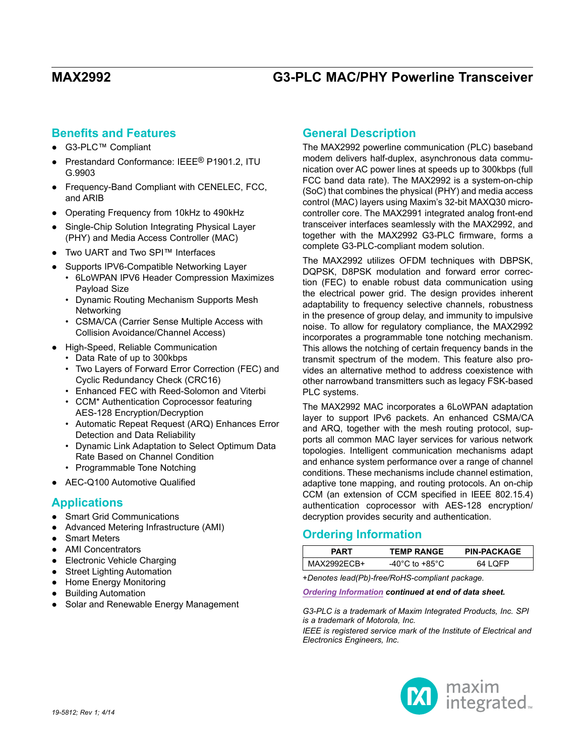## **Benefits and Features**

- G3-PLC™ Compliant
- Prestandard Conformance: IEEE® P1901.2, ITU G.9903
- Frequency-Band Compliant with CENELEC, FCC, and ARIB
- Operating Frequency from 10kHz to 490kHz
- Single-Chip Solution Integrating Physical Layer (PHY) and Media Access Controller (MAC)
- Two UART and Two SPI™ Interfaces
- Supports IPV6-Compatible Networking Layer
	- • 6LoWPAN IPV6 Header Compression Maximizes Payload Size
	- Dynamic Routing Mechanism Supports Mesh **Networking**
	- • CSMA/CA (Carrier Sense Multiple Access with Collision Avoidance/Channel Access)
- High-Speed, Reliable Communication
	- • Data Rate of up to 300kbps
	- Two Layers of Forward Error Correction (FEC) and Cyclic Redundancy Check (CRC16)
	- • Enhanced FEC with Reed-Solomon and Viterbi
	- CCM\* Authentication Coprocessor featuring AES-128 Encryption/Decryption
	- • Automatic Repeat Request (ARQ) Enhances Error Detection and Data Reliability
	- • Dynamic Link Adaptation to Select Optimum Data Rate Based on Channel Condition
	- Programmable Tone Notching
- AEC-Q100 Automotive Qualified

## **Applications**

- Smart Grid Communications
- Advanced Metering Infrastructure (AMI)
- **Smart Meters**
- **AMI Concentrators**
- Electronic Vehicle Charging
- **Street Lighting Automation**
- **Home Energy Monitoring**
- **Building Automation**
- Solar and Renewable Energy Management

## **General Description**

The MAX2992 powerline communication (PLC) baseband modem delivers half-duplex, asynchronous data communication over AC power lines at speeds up to 300kbps (full FCC band data rate). The MAX2992 is a system-on-chip (SoC) that combines the physical (PHY) and media access control (MAC) layers using Maxim's 32-bit MAXQ30 microcontroller core. The MAX2991 integrated analog front-end transceiver interfaces seamlessly with the MAX2992, and together with the MAX2992 G3-PLC firmware, forms a complete G3-PLC-compliant modem solution.

The MAX2992 utilizes OFDM techniques with DBPSK, DQPSK, D8PSK modulation and forward error correction (FEC) to enable robust data communication using the electrical power grid. The design provides inherent adaptability to frequency selective channels, robustness in the presence of group delay, and immunity to impulsive noise. To allow for regulatory compliance, the MAX2992 incorporates a programmable tone notching mechanism. This allows the notching of certain frequency bands in the transmit spectrum of the modem. This feature also provides an alternative method to address coexistence with other narrowband transmitters such as legacy FSK-based PLC systems.

The MAX2992 MAC incorporates a 6LoWPAN adaptation layer to support IPv6 packets. An enhanced CSMA/CA and ARQ, together with the mesh routing protocol, supports all common MAC layer services for various network topologies. Intelligent communication mechanisms adapt and enhance system performance over a range of channel conditions. These mechanisms include channel estimation, adaptive tone mapping, and routing protocols. An on-chip CCM (an extension of CCM specified in IEEE 802.15.4) authentication coprocessor with AES-128 encryption/ decryption provides security and authentication.

## <span id="page-0-0"></span>**Ordering Information**

| PART        | <b>TEMP RANGE</b>                    | <b>PIN-PACKAGE</b> |
|-------------|--------------------------------------|--------------------|
| MAX2992ECB+ | -40 $^{\circ}$ C to +85 $^{\circ}$ C | 64 LOFP            |
|             |                                      |                    |

+*Denotes lead(Pb)-free/RoHS-compliant package.*

### *[Ordering Information](#page-0-0) continued at end of data sheet.*

*G3-PLC is a trademark of Maxim Integrated Products, Inc. SPI is a trademark of Motorola, Inc.*

*IEEE is registered service mark of the Institute of Electrical and Electronics Engineers, Inc.*

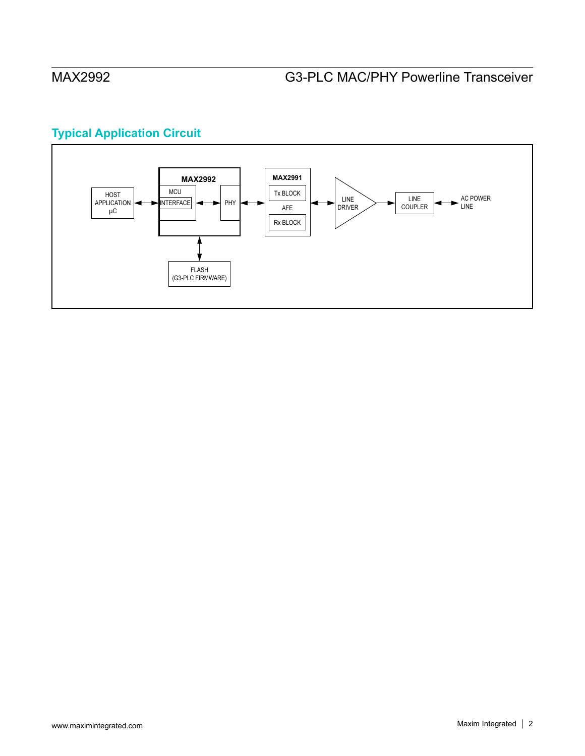# **Typical Application Circuit**

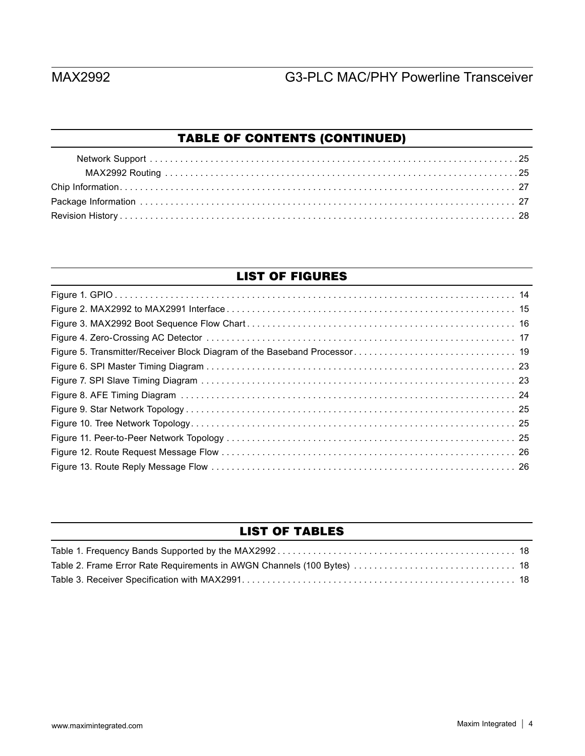# TABLE OF CONTENTS (CONTINUED)

## LIST OF FIGURES

## LIST OF TABLES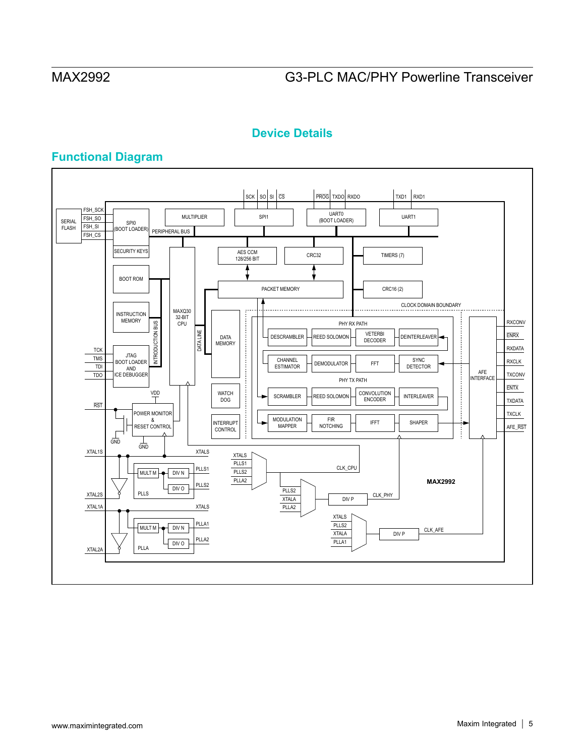## **Device Details**

## **Functional Diagram**

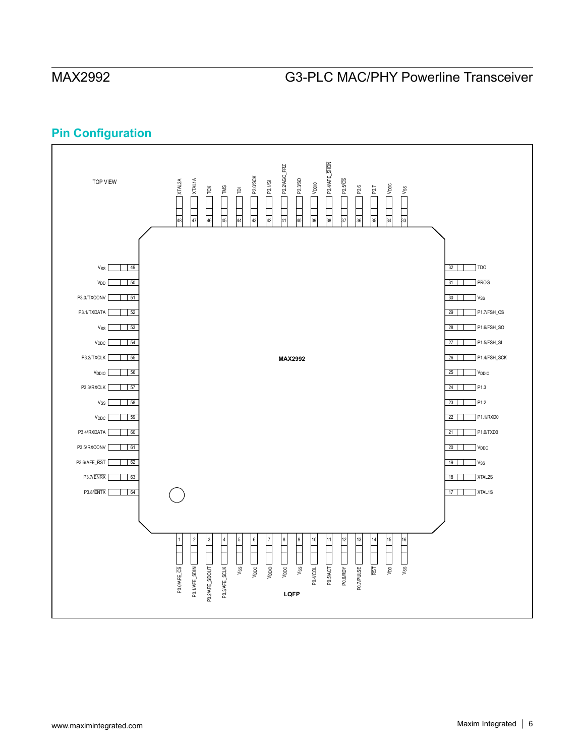## **Pin Configuration**

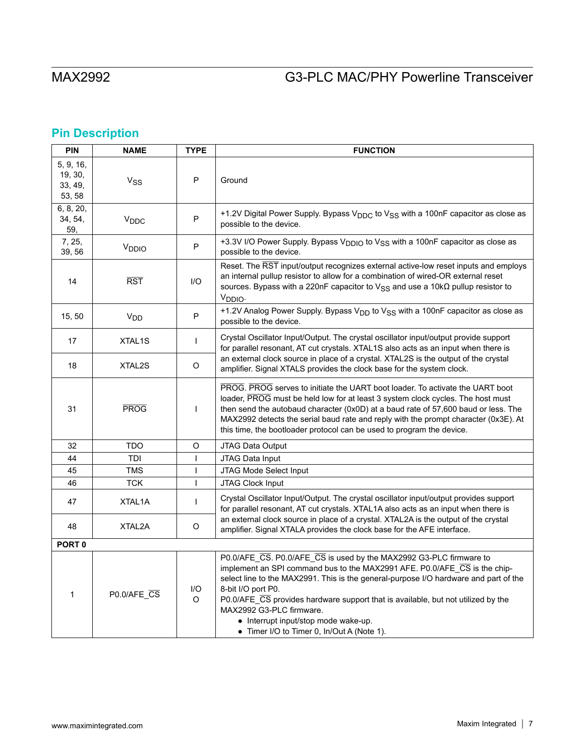# **Pin Description**

| <b>PIN</b>                                | <b>NAME</b>         | <b>TYPE</b> | <b>FUNCTION</b>                                                                                                                                                                                                                                                                                                                                                                                                                                                     |  |
|-------------------------------------------|---------------------|-------------|---------------------------------------------------------------------------------------------------------------------------------------------------------------------------------------------------------------------------------------------------------------------------------------------------------------------------------------------------------------------------------------------------------------------------------------------------------------------|--|
| 5, 9, 16,<br>19, 30,<br>33, 49,<br>53, 58 | $V_{SS}$            | P           | Ground                                                                                                                                                                                                                                                                                                                                                                                                                                                              |  |
| 6, 8, 20,<br>34, 54,<br>59,               | V <sub>DDC</sub>    | P           | +1.2V Digital Power Supply. Bypass V <sub>DDC</sub> to V <sub>SS</sub> with a 100nF capacitor as close as<br>possible to the device.                                                                                                                                                                                                                                                                                                                                |  |
| 7, 25,<br>39, 56                          | V <sub>DDIO</sub>   | P           | +3.3V I/O Power Supply. Bypass V <sub>DDIO</sub> to V <sub>SS</sub> with a 100nF capacitor as close as<br>possible to the device.                                                                                                                                                                                                                                                                                                                                   |  |
| 14                                        | <b>RST</b>          | 1/O         | Reset. The RST input/output recognizes external active-low reset inputs and employs<br>an internal pullup resistor to allow for a combination of wired-OR external reset<br>sources. Bypass with a 220nF capacitor to $V_{SS}$ and use a 10k $\Omega$ pullup resistor to<br>V <sub>DDIO</sub>                                                                                                                                                                       |  |
| 15, 50                                    | V <sub>DD</sub>     | P           | +1.2V Analog Power Supply. Bypass V <sub>DD</sub> to V <sub>SS</sub> with a 100nF capacitor as close as<br>possible to the device.                                                                                                                                                                                                                                                                                                                                  |  |
| 17                                        | XTAL <sub>1</sub> S | L           | Crystal Oscillator Input/Output. The crystal oscillator input/output provide support<br>for parallel resonant, AT cut crystals. XTAL1S also acts as an input when there is                                                                                                                                                                                                                                                                                          |  |
| 18                                        | XTAL2S              | O           | an external clock source in place of a crystal. XTAL2S is the output of the crystal<br>amplifier. Signal XTALS provides the clock base for the system clock.                                                                                                                                                                                                                                                                                                        |  |
| 31                                        | <b>PROG</b>         | L           | PROG. PROG serves to initiate the UART boot loader. To activate the UART boot<br>loader, PROG must be held low for at least 3 system clock cycles. The host must<br>then send the autobaud character (0x0D) at a baud rate of 57,600 baud or less. The<br>MAX2992 detects the serial baud rate and reply with the prompt character (0x3E). At<br>this time, the bootloader protocol can be used to program the device.                                              |  |
| 32                                        | <b>TDO</b>          | O           | JTAG Data Output                                                                                                                                                                                                                                                                                                                                                                                                                                                    |  |
| 44                                        | TDI                 | T           | JTAG Data Input                                                                                                                                                                                                                                                                                                                                                                                                                                                     |  |
| 45                                        | <b>TMS</b>          | ı           | JTAG Mode Select Input                                                                                                                                                                                                                                                                                                                                                                                                                                              |  |
| 46                                        | <b>TCK</b>          | T           | <b>JTAG Clock Input</b>                                                                                                                                                                                                                                                                                                                                                                                                                                             |  |
| 47                                        | XTAL1A              | T           | Crystal Oscillator Input/Output. The crystal oscillator input/output provides support<br>for parallel resonant, AT cut crystals. XTAL1A also acts as an input when there is                                                                                                                                                                                                                                                                                         |  |
| 48                                        | XTAL2A              | O           | an external clock source in place of a crystal. XTAL2A is the output of the crystal<br>amplifier. Signal XTALA provides the clock base for the AFE interface.                                                                                                                                                                                                                                                                                                       |  |
| PORT <sub>0</sub>                         |                     |             |                                                                                                                                                                                                                                                                                                                                                                                                                                                                     |  |
| 1                                         | P0.0/AFE_CS         | I/O<br>O    | P0.0/AFE_CS. P0.0/AFE_CS is used by the MAX2992 G3-PLC firmware to<br>implement an SPI command bus to the MAX2991 AFE. P0.0/AFE CS is the chip-<br>select line to the MAX2991. This is the general-purpose I/O hardware and part of the<br>8-bit I/O port P0.<br>P0.0/AFE_CS provides hardware support that is available, but not utilized by the<br>MAX2992 G3-PLC firmware.<br>• Interrupt input/stop mode wake-up.<br>• Timer I/O to Timer 0, In/Out A (Note 1). |  |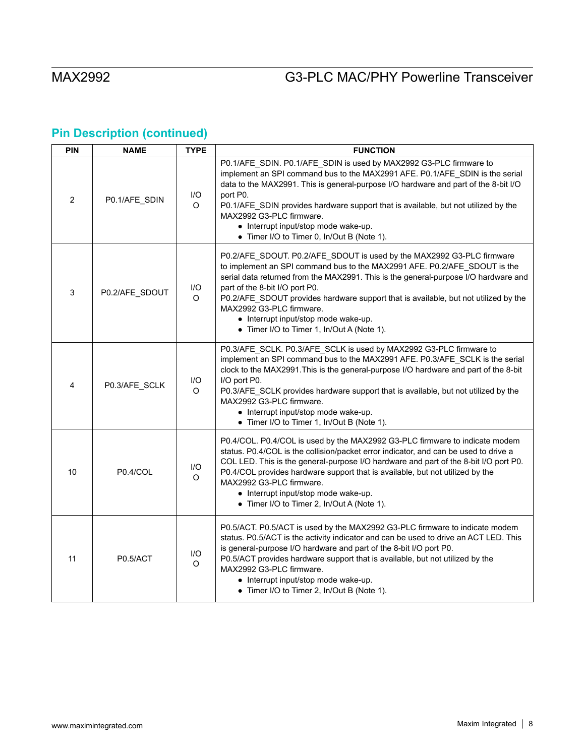| PIN            | <b>NAME</b>    | <b>TYPE</b> | <b>FUNCTION</b>                                                                                                                                                                                                                                                                                                                                                                                                                                                                      |  |
|----------------|----------------|-------------|--------------------------------------------------------------------------------------------------------------------------------------------------------------------------------------------------------------------------------------------------------------------------------------------------------------------------------------------------------------------------------------------------------------------------------------------------------------------------------------|--|
| $\overline{2}$ | P0.1/AFE_SDIN  | I/O<br>O    | P0.1/AFE_SDIN. P0.1/AFE_SDIN is used by MAX2992 G3-PLC firmware to<br>implement an SPI command bus to the MAX2991 AFE. P0.1/AFE_SDIN is the serial<br>data to the MAX2991. This is general-purpose I/O hardware and part of the 8-bit I/O<br>port P0.<br>P0.1/AFE_SDIN provides hardware support that is available, but not utilized by the<br>MAX2992 G3-PLC firmware.<br>• Interrupt input/stop mode wake-up.<br>• Timer I/O to Timer 0, In/Out B (Note 1).                        |  |
| 3              | P0.2/AFE_SDOUT | I/O<br>O    | P0.2/AFE_SDOUT. P0.2/AFE_SDOUT is used by the MAX2992 G3-PLC firmware<br>to implement an SPI command bus to the MAX2991 AFE. P0.2/AFE_SDOUT is the<br>serial data returned from the MAX2991. This is the general-purpose I/O hardware and<br>part of the 8-bit I/O port P0.<br>P0.2/AFE_SDOUT provides hardware support that is available, but not utilized by the<br>MAX2992 G3-PLC firmware.<br>• Interrupt input/stop mode wake-up.<br>• Timer I/O to Timer 1, In/Out A (Note 1). |  |
| 4              | P0.3/AFE_SCLK  | I/O<br>O    | P0.3/AFE_SCLK. P0.3/AFE_SCLK is used by MAX2992 G3-PLC firmware to<br>implement an SPI command bus to the MAX2991 AFE. P0.3/AFE_SCLK is the serial<br>clock to the MAX2991. This is the general-purpose I/O hardware and part of the 8-bit<br>I/O port P0.<br>P0.3/AFE_SCLK provides hardware support that is available, but not utilized by the<br>MAX2992 G3-PLC firmware.<br>• Interrupt input/stop mode wake-up.<br>• Timer I/O to Timer 1, In/Out B (Note 1).                   |  |
| 10             | P0.4/COL       | I/O<br>O    | P0.4/COL. P0.4/COL is used by the MAX2992 G3-PLC firmware to indicate modem<br>status. P0.4/COL is the collision/packet error indicator, and can be used to drive a<br>COL LED. This is the general-purpose I/O hardware and part of the 8-bit I/O port P0.<br>P0.4/COL provides hardware support that is available, but not utilized by the<br>MAX2992 G3-PLC firmware.<br>• Interrupt input/stop mode wake-up.<br>• Timer I/O to Timer 2, In/Out A (Note 1).                       |  |
| 11             | P0.5/ACT       | I/O<br>O    | P0.5/ACT. P0.5/ACT is used by the MAX2992 G3-PLC firmware to indicate modem<br>status. P0.5/ACT is the activity indicator and can be used to drive an ACT LED. This<br>is general-purpose I/O hardware and part of the 8-bit I/O port P0.<br>P0.5/ACT provides hardware support that is available, but not utilized by the<br>MAX2992 G3-PLC firmware.<br>• Interrupt input/stop mode wake-up.<br>• Timer I/O to Timer 2, In/Out B (Note 1).                                         |  |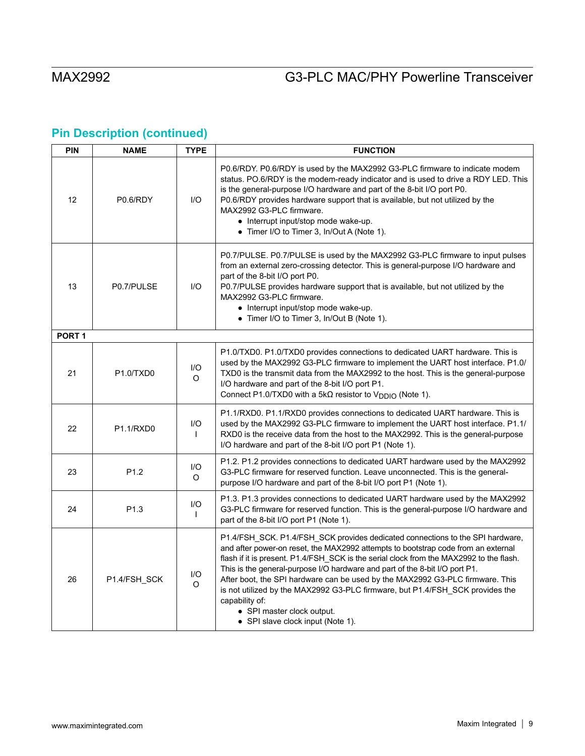| PIN               | <b>NAME</b>                        | <b>TYPE</b>         | <b>FUNCTION</b>                                                                                                                                                                                                                                                                                                                                                                                                                                                                                                                                                                                      |  |
|-------------------|------------------------------------|---------------------|------------------------------------------------------------------------------------------------------------------------------------------------------------------------------------------------------------------------------------------------------------------------------------------------------------------------------------------------------------------------------------------------------------------------------------------------------------------------------------------------------------------------------------------------------------------------------------------------------|--|
| 12                | P0.6/RDY                           | I/O                 | P0.6/RDY. P0.6/RDY is used by the MAX2992 G3-PLC firmware to indicate modem<br>status. PO.6/RDY is the modem-ready indicator and is used to drive a RDY LED. This<br>is the general-purpose I/O hardware and part of the 8-bit I/O port P0.<br>P0.6/RDY provides hardware support that is available, but not utilized by the<br>MAX2992 G3-PLC firmware.<br>• Interrupt input/stop mode wake-up.<br>• Timer I/O to Timer 3, In/Out A (Note 1).                                                                                                                                                       |  |
| 13                | P0.7/PULSE                         | 1/O                 | P0.7/PULSE. P0.7/PULSE is used by the MAX2992 G3-PLC firmware to input pulses<br>from an external zero-crossing detector. This is general-purpose I/O hardware and<br>part of the 8-bit I/O port P0.<br>P0.7/PULSE provides hardware support that is available, but not utilized by the<br>MAX2992 G3-PLC firmware.<br>• Interrupt input/stop mode wake-up.<br>• Timer I/O to Timer 3, In/Out B (Note 1).                                                                                                                                                                                            |  |
| PORT <sub>1</sub> |                                    |                     |                                                                                                                                                                                                                                                                                                                                                                                                                                                                                                                                                                                                      |  |
| 21                | P <sub>1.0</sub> /TXD <sub>0</sub> | I/O<br>O            | P1.0/TXD0. P1.0/TXD0 provides connections to dedicated UART hardware. This is<br>used by the MAX2992 G3-PLC firmware to implement the UART host interface. P1.0/<br>TXD0 is the transmit data from the MAX2992 to the host. This is the general-purpose<br>I/O hardware and part of the 8-bit I/O port P1.<br>Connect P1.0/TXD0 with a 5k $\Omega$ resistor to $V_{\text{DDIO}}$ (Note 1).                                                                                                                                                                                                           |  |
| 22                | P <sub>1.1</sub> /R <sub>XD0</sub> | 1/O<br>$\mathbf{I}$ | P1.1/RXD0. P1.1/RXD0 provides connections to dedicated UART hardware. This is<br>used by the MAX2992 G3-PLC firmware to implement the UART host interface. P1.1/<br>RXD0 is the receive data from the host to the MAX2992. This is the general-purpose<br>I/O hardware and part of the 8-bit I/O port P1 (Note 1).                                                                                                                                                                                                                                                                                   |  |
| 23                | P1.2                               | I/O<br>$\circ$      | P1.2. P1.2 provides connections to dedicated UART hardware used by the MAX2992<br>G3-PLC firmware for reserved function. Leave unconnected. This is the general-<br>purpose I/O hardware and part of the 8-bit I/O port P1 (Note 1).                                                                                                                                                                                                                                                                                                                                                                 |  |
| 24                | P <sub>1.3</sub>                   | I/O<br>$\mathbf{I}$ | P1.3. P1.3 provides connections to dedicated UART hardware used by the MAX2992<br>G3-PLC firmware for reserved function. This is the general-purpose I/O hardware and<br>part of the 8-bit I/O port P1 (Note 1).                                                                                                                                                                                                                                                                                                                                                                                     |  |
| 26                | P1.4/FSH_SCK                       | I/O<br>O            | P1.4/FSH_SCK. P1.4/FSH_SCK provides dedicated connections to the SPI hardware,<br>and after power-on reset, the MAX2992 attempts to bootstrap code from an external<br>flash if it is present. P1.4/FSH_SCK is the serial clock from the MAX2992 to the flash.<br>This is the general-purpose I/O hardware and part of the 8-bit I/O port P1.<br>After boot, the SPI hardware can be used by the MAX2992 G3-PLC firmware. This<br>is not utilized by the MAX2992 G3-PLC firmware, but P1.4/FSH_SCK provides the<br>capability of:<br>• SPI master clock output.<br>• SPI slave clock input (Note 1). |  |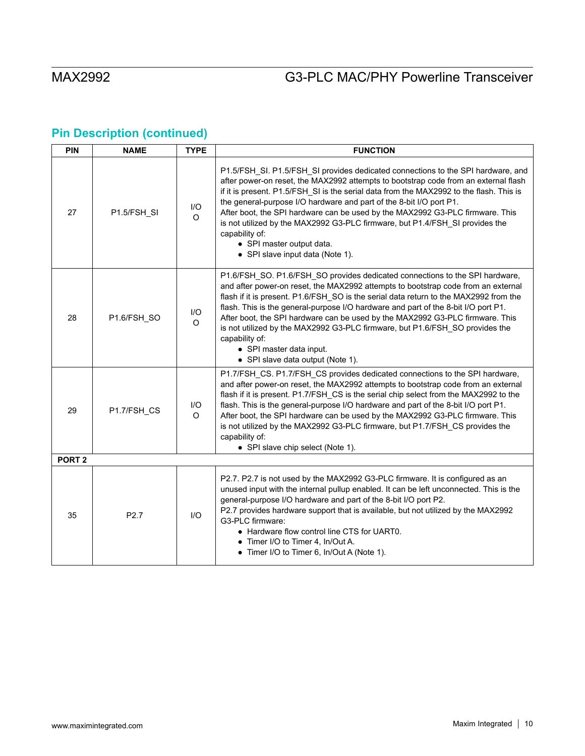| PIN | <b>NAME</b>       | <b>TYPE</b>     | <b>FUNCTION</b>                                                                                                                                                                                                                                                                                                                                                                                                                                                                                                                                                                                      |  |  |
|-----|-------------------|-----------------|------------------------------------------------------------------------------------------------------------------------------------------------------------------------------------------------------------------------------------------------------------------------------------------------------------------------------------------------------------------------------------------------------------------------------------------------------------------------------------------------------------------------------------------------------------------------------------------------------|--|--|
| 27  | P1.5/FSH_SI       | I/O<br>$\Omega$ | P1.5/FSH_SI. P1.5/FSH_SI provides dedicated connections to the SPI hardware, and<br>after power-on reset, the MAX2992 attempts to bootstrap code from an external flash<br>if it is present. P1.5/FSH_SI is the serial data from the MAX2992 to the flash. This is<br>the general-purpose I/O hardware and part of the 8-bit I/O port P1.<br>After boot, the SPI hardware can be used by the MAX2992 G3-PLC firmware. This<br>is not utilized by the MAX2992 G3-PLC firmware, but P1.4/FSH_SI provides the<br>capability of:<br>• SPI master output data.<br>• SPI slave input data (Note 1).        |  |  |
| 28  | P1.6/FSH_SO       | I/O<br>$\Omega$ | P1.6/FSH_SO. P1.6/FSH_SO provides dedicated connections to the SPI hardware,<br>and after power-on reset, the MAX2992 attempts to bootstrap code from an external<br>flash if it is present. P1.6/FSH_SO is the serial data return to the MAX2992 from the<br>flash. This is the general-purpose I/O hardware and part of the 8-bit I/O port P1.<br>After boot, the SPI hardware can be used by the MAX2992 G3-PLC firmware. This<br>is not utilized by the MAX2992 G3-PLC firmware, but P1.6/FSH_SO provides the<br>capability of:<br>• SPI master data input.<br>• SPI slave data output (Note 1). |  |  |
| 29  | P1.7/FSH_CS       | I/O<br>O        | P1.7/FSH_CS. P1.7/FSH_CS provides dedicated connections to the SPI hardware,<br>and after power-on reset, the MAX2992 attempts to bootstrap code from an external<br>flash if it is present. P1.7/FSH_CS is the serial chip select from the MAX2992 to the<br>flash. This is the general-purpose I/O hardware and part of the 8-bit I/O port P1.<br>After boot, the SPI hardware can be used by the MAX2992 G3-PLC firmware. This<br>is not utilized by the MAX2992 G3-PLC firmware, but P1.7/FSH_CS provides the<br>capability of:<br>• SPI slave chip select (Note 1).                             |  |  |
|     | PORT <sub>2</sub> |                 |                                                                                                                                                                                                                                                                                                                                                                                                                                                                                                                                                                                                      |  |  |
| 35  | P <sub>2.7</sub>  | 1/O             | P2.7. P2.7 is not used by the MAX2992 G3-PLC firmware. It is configured as an<br>unused input with the internal pullup enabled. It can be left unconnected. This is the<br>general-purpose I/O hardware and part of the 8-bit I/O port P2.<br>P2.7 provides hardware support that is available, but not utilized by the MAX2992<br>G3-PLC firmware:<br>• Hardware flow control line CTS for UART0.<br>• Timer I/O to Timer 4, In/Out A.<br>• Timer I/O to Timer 6, In/Out A (Note 1).                                                                                                                |  |  |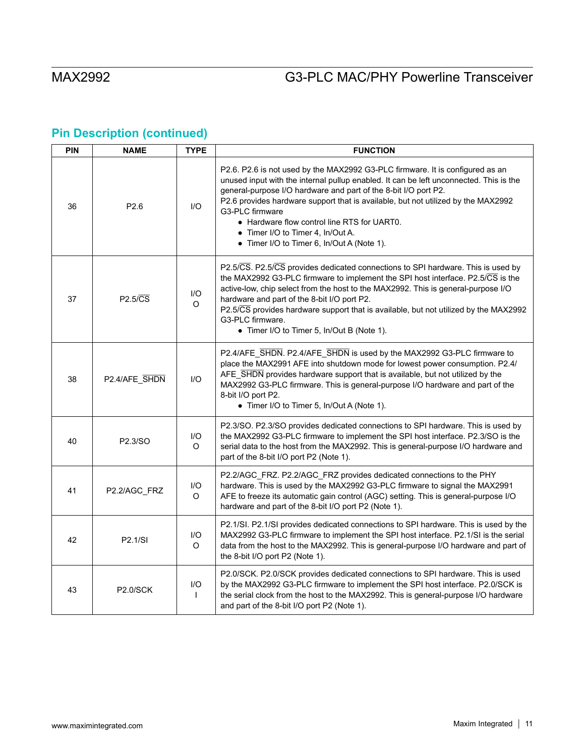| PIN | <b>NAME</b>          | <b>TYPE</b>         | <b>FUNCTION</b>                                                                                                                                                                                                                                                                                                                                                                                                                                                                      |  |
|-----|----------------------|---------------------|--------------------------------------------------------------------------------------------------------------------------------------------------------------------------------------------------------------------------------------------------------------------------------------------------------------------------------------------------------------------------------------------------------------------------------------------------------------------------------------|--|
| 36  | P2.6                 | I/O                 | P2.6. P2.6 is not used by the MAX2992 G3-PLC firmware. It is configured as an<br>unused input with the internal pullup enabled. It can be left unconnected. This is the<br>general-purpose I/O hardware and part of the 8-bit I/O port P2.<br>P2.6 provides hardware support that is available, but not utilized by the MAX2992<br>G3-PLC firmware<br>• Hardware flow control line RTS for UART0.<br>• Timer I/O to Timer 4, In/Out A.<br>• Timer I/O to Timer 6, In/Out A (Note 1). |  |
| 37  | $P2.5/\overline{CS}$ | I/O<br>O            | P2.5/CS. P2.5/CS provides dedicated connections to SPI hardware. This is used by<br>the MAX2992 G3-PLC firmware to implement the SPI host interface. P2.5/CS is the<br>active-low, chip select from the host to the MAX2992. This is general-purpose I/O<br>hardware and part of the 8-bit I/O port P2.<br>P2.5/CS provides hardware support that is available, but not utilized by the MAX2992<br>G3-PLC firmware.<br>• Timer I/O to Timer 5, In/Out B (Note 1).                    |  |
| 38  | P2.4/AFE SHDN        | I/O                 | P2.4/AFE_SHDN. P2.4/AFE_SHDN is used by the MAX2992 G3-PLC firmware to<br>place the MAX2991 AFE into shutdown mode for lowest power consumption. P2.4/<br>AFE SHDN provides hardware support that is available, but not utilized by the<br>MAX2992 G3-PLC firmware. This is general-purpose I/O hardware and part of the<br>8-bit I/O port P2.<br>• Timer I/O to Timer 5, In/Out A (Note 1).                                                                                         |  |
| 40  | P2.3/SO              | I/O<br>O            | P2.3/SO. P2.3/SO provides dedicated connections to SPI hardware. This is used by<br>the MAX2992 G3-PLC firmware to implement the SPI host interface. P2.3/SO is the<br>serial data to the host from the MAX2992. This is general-purpose I/O hardware and<br>part of the 8-bit I/O port P2 (Note 1).                                                                                                                                                                                 |  |
| 41  | P2.2/AGC_FRZ         | I/O<br>O            | P2.2/AGC_FRZ. P2.2/AGC_FRZ provides dedicated connections to the PHY<br>hardware. This is used by the MAX2992 G3-PLC firmware to signal the MAX2991<br>AFE to freeze its automatic gain control (AGC) setting. This is general-purpose I/O<br>hardware and part of the 8-bit I/O port P2 (Note 1).                                                                                                                                                                                   |  |
| 42  | P2.1/SI              | I/O<br>O            | P2.1/SI. P2.1/SI provides dedicated connections to SPI hardware. This is used by the<br>MAX2992 G3-PLC firmware to implement the SPI host interface. P2.1/SI is the serial<br>data from the host to the MAX2992. This is general-purpose I/O hardware and part of<br>the 8-bit I/O port P2 (Note 1).                                                                                                                                                                                 |  |
| 43  | <b>P2.0/SCK</b>      | I/O<br>$\mathbf{I}$ | P2.0/SCK. P2.0/SCK provides dedicated connections to SPI hardware. This is used<br>by the MAX2992 G3-PLC firmware to implement the SPI host interface. P2.0/SCK is<br>the serial clock from the host to the MAX2992. This is general-purpose I/O hardware<br>and part of the 8-bit I/O port P2 (Note 1).                                                                                                                                                                             |  |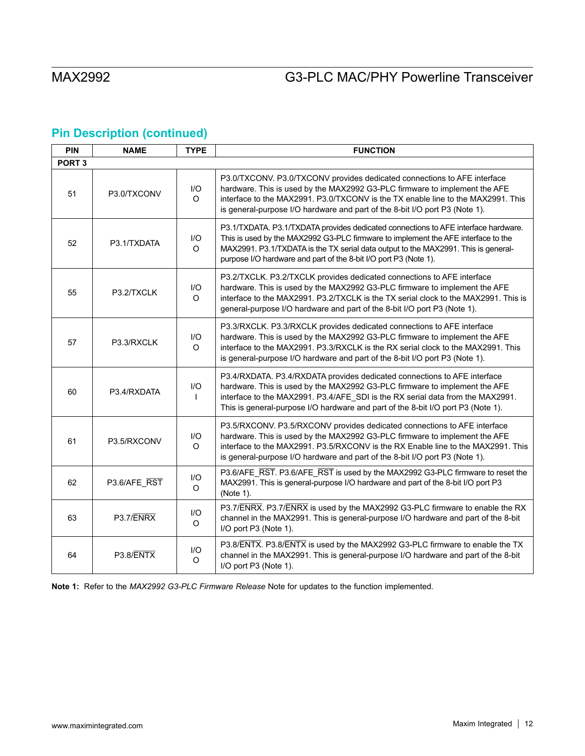# **Pin Description (continued)**

| <b>PIN</b>        | <b>NAME</b>  | <b>TYPE</b>     | <b>FUNCTION</b>                                                                                                                                                                                                                                                                                                                   |  |  |
|-------------------|--------------|-----------------|-----------------------------------------------------------------------------------------------------------------------------------------------------------------------------------------------------------------------------------------------------------------------------------------------------------------------------------|--|--|
| PORT <sub>3</sub> |              |                 |                                                                                                                                                                                                                                                                                                                                   |  |  |
| 51                | P3.0/TXCONV  | I/O<br>O        | P3.0/TXCONV. P3.0/TXCONV provides dedicated connections to AFE interface<br>hardware. This is used by the MAX2992 G3-PLC firmware to implement the AFE<br>interface to the MAX2991. P3.0/TXCONV is the TX enable line to the MAX2991. This<br>is general-purpose I/O hardware and part of the 8-bit I/O port P3 (Note 1).         |  |  |
| 52                | P3.1/TXDATA  | I/O<br>$\Omega$ | P3.1/TXDATA. P3.1/TXDATA provides dedicated connections to AFE interface hardware.<br>This is used by the MAX2992 G3-PLC firmware to implement the AFE interface to the<br>MAX2991. P3.1/TXDATA is the TX serial data output to the MAX2991. This is general-<br>purpose I/O hardware and part of the 8-bit I/O port P3 (Note 1). |  |  |
| 55                | P3.2/TXCLK   | 1/O<br>$\Omega$ | P3.2/TXCLK. P3.2/TXCLK provides dedicated connections to AFE interface<br>hardware. This is used by the MAX2992 G3-PLC firmware to implement the AFE<br>interface to the MAX2991. P3.2/TXCLK is the TX serial clock to the MAX2991. This is<br>general-purpose I/O hardware and part of the 8-bit I/O port P3 (Note 1).           |  |  |
| 57                | P3.3/RXCLK   | I/O<br>O        | P3.3/RXCLK. P3.3/RXCLK provides dedicated connections to AFE interface<br>hardware. This is used by the MAX2992 G3-PLC firmware to implement the AFE<br>interface to the MAX2991. P3.3/RXCLK is the RX serial clock to the MAX2991. This<br>is general-purpose I/O hardware and part of the 8-bit I/O port P3 (Note 1).           |  |  |
| 60                | P3.4/RXDATA  | I/O             | P3.4/RXDATA. P3.4/RXDATA provides dedicated connections to AFE interface<br>hardware. This is used by the MAX2992 G3-PLC firmware to implement the AFE<br>interface to the MAX2991. P3.4/AFE_SDI is the RX serial data from the MAX2991.<br>This is general-purpose I/O hardware and part of the 8-bit I/O port P3 (Note 1).      |  |  |
| 61                | P3.5/RXCONV  | I/O<br>O        | P3.5/RXCONV. P3.5/RXCONV provides dedicated connections to AFE interface<br>hardware. This is used by the MAX2992 G3-PLC firmware to implement the AFE<br>interface to the MAX2991. P3.5/RXCONV is the RX Enable line to the MAX2991. This<br>is general-purpose I/O hardware and part of the 8-bit I/O port P3 (Note 1).         |  |  |
| 62                | P3.6/AFE RST | I/O<br>O        | P3.6/AFE_RST. P3.6/AFE_RST is used by the MAX2992 G3-PLC firmware to reset the<br>MAX2991. This is general-purpose I/O hardware and part of the 8-bit I/O port P3<br>(Note 1).                                                                                                                                                    |  |  |
| 63                | P3.7/ENRX    | I/O<br>O        | P3.7/ENRX. P3.7/ENRX is used by the MAX2992 G3-PLC firmware to enable the RX<br>channel in the MAX2991. This is general-purpose I/O hardware and part of the 8-bit<br>I/O port P3 (Note 1).                                                                                                                                       |  |  |
| 64                | P3.8/ENTX    | I/O<br>$\circ$  | P3.8/ENTX. P3.8/ENTX is used by the MAX2992 G3-PLC firmware to enable the TX<br>channel in the MAX2991. This is general-purpose I/O hardware and part of the 8-bit<br>I/O port P3 (Note 1).                                                                                                                                       |  |  |

**Note 1:** Refer to the *MAX2992 G3-PLC Firmware Release* Note for updates to the function implemented.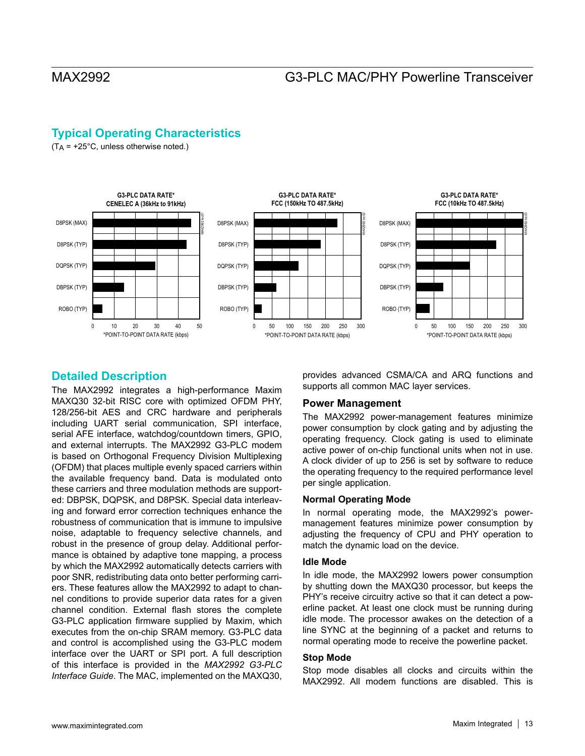## **Typical Operating Characteristics**

 $(T_A = +25^{\circ}C,$  unless otherwise noted.)



## **Detailed Description**

The MAX2992 integrates a high-performance Maxim MAXQ30 32-bit RISC core with optimized OFDM PHY, 128/256-bit AES and CRC hardware and peripherals including UART serial communication, SPI interface, serial AFE interface, watchdog/countdown timers, GPIO, and external interrupts. The MAX2992 G3-PLC modem is based on Orthogonal Frequency Division Multiplexing (OFDM) that places multiple evenly spaced carriers within the available frequency band. Data is modulated onto these carriers and three modulation methods are supported: DBPSK, DQPSK, and D8PSK. Special data interleaving and forward error correction techniques enhance the robustness of communication that is immune to impulsive noise, adaptable to frequency selective channels, and robust in the presence of group delay. Additional performance is obtained by adaptive tone mapping, a process by which the MAX2992 automatically detects carriers with poor SNR, redistributing data onto better performing carriers. These features allow the MAX2992 to adapt to channel conditions to provide superior data rates for a given channel condition. External flash stores the complete G3-PLC application firmware supplied by Maxim, which executes from the on-chip SRAM memory. G3-PLC data and control is accomplished using the G3-PLC modem interface over the UART or SPI port. A full description of this interface is provided in the *MAX2992 G3-PLC Interface Guide*. The MAC, implemented on the MAXQ30,

provides advanced CSMA/CA and ARQ functions and supports all common MAC layer services.

### **Power Management**

The MAX2992 power-management features minimize power consumption by clock gating and by adjusting the operating frequency. Clock gating is used to eliminate active power of on-chip functional units when not in use. A clock divider of up to 256 is set by software to reduce the operating frequency to the required performance level per single application.

### **Normal Operating Mode**

In normal operating mode, the MAX2992's powermanagement features minimize power consumption by adjusting the frequency of CPU and PHY operation to match the dynamic load on the device.

### **Idle Mode**

In idle mode, the MAX2992 lowers power consumption by shutting down the MAXQ30 processor, but keeps the PHY's receive circuitry active so that it can detect a powerline packet. At least one clock must be running during idle mode. The processor awakes on the detection of a line SYNC at the beginning of a packet and returns to normal operating mode to receive the powerline packet.

### **Stop Mode**

Stop mode disables all clocks and circuits within the MAX2992. All modem functions are disabled. This is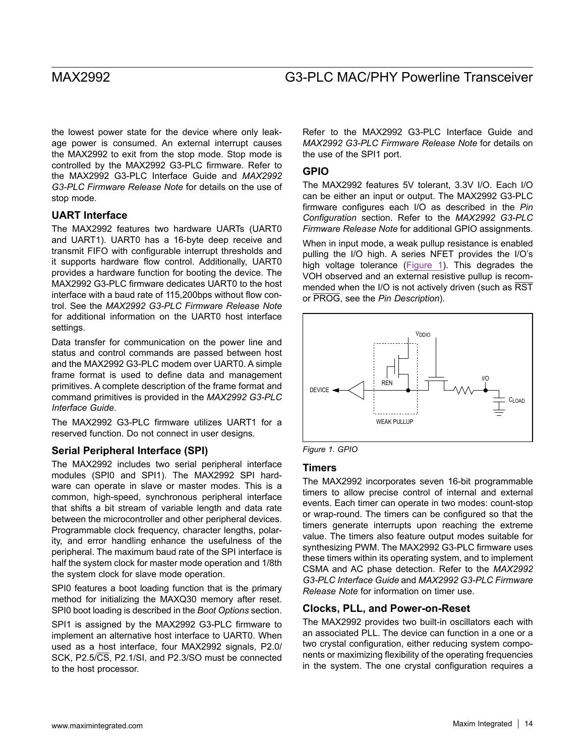the lowest power state for the device where only leakage power is consumed. An external interrupt causes the MAX2992 to exit from the stop mode. Stop mode is controlled by the MAX2992 G3-PLC firmware. Refer to the MAX2992 G3-PLC Interface Guide and *MAX2992 G3-PLC Firmware Release Note* for details on the use of stop mode.

### **UART Interface**

The MAX2992 features two hardware UARTs (UART0 and UART1). UART0 has a 16-byte deep receive and transmit FIFO with configurable interrupt thresholds and it supports hardware flow control. Additionally, UART0 provides a hardware function for booting the device. The MAX2992 G3-PLC firmware dedicates UART0 to the host interface with a baud rate of 115,200bps without flow control. See the *MAX2992 G3-PLC Firmware Release Note*  for additional information on the UART0 host interface settings.

Data transfer for communication on the power line and status and control commands are passed between host and the MAX2992 G3-PLC modem over UART0. A simple frame format is used to define data and management primitives. A complete description of the frame format and command primitives is provided in the *MAX2992 G3-PLC Interface Guide*.

The MAX2992 G3-PLC firmware utilizes UART1 for a reserved function. Do not connect in user designs.

### **Serial Peripheral Interface (SPI)**

The MAX2992 includes two serial peripheral interface modules (SPI0 and SPI1). The MAX2992 SPI hardware can operate in slave or master modes. This is a common, high-speed, synchronous peripheral interface that shifts a bit stream of variable length and data rate between the microcontroller and other peripheral devices. Programmable clock frequency, character lengths, polarity, and error handling enhance the usefulness of the peripheral. The maximum baud rate of the SPI interface is half the system clock for master mode operation and 1/8th the system clock for slave mode operation.

SPI0 features a boot loading function that is the primary method for initializing the MAXQ30 memory after reset. SPI0 boot loading is described in the *Boot Options* section.

SPI1 is assigned by the MAX2992 G3-PLC firmware to implement an alternative host interface to UART0. When used as a host interface, four MAX2992 signals, P2.0/ SCK, P2.5/CS, P2.1/SI, and P2.3/SO must be connected to the host processor.

Refer to the MAX2992 G3-PLC Interface Guide and *MAX2992 G3-PLC Firmware Release Note* for details on the use of the SPI1 port.

### **GPIO**

The MAX2992 features 5V tolerant, 3.3V I/O. Each I/O can be either an input or output. The MAX2992 G3-PLC firmware configures each I/O as described in the *Pin Configuration* section. Refer to the *MAX2992 G3-PLC Firmware Release Note* for additional GPIO assignments.

When in input mode, a weak pullup resistance is enabled pulling the I/O high. A series NFET provides the I/O's high voltage tolerance ([Figure 1\)](#page-13-0). This degrades the VOH observed and an external resistive pullup is recommended when the I/O is not actively driven (such as RST or PROG, see the *Pin Description*).

<span id="page-13-0"></span>

*Figure 1. GPIO*

### **Timers**

The MAX2992 incorporates seven 16-bit programmable timers to allow precise control of internal and external events. Each timer can operate in two modes: count-stop or wrap-round. The timers can be configured so that the timers generate interrupts upon reaching the extreme value. The timers also feature output modes suitable for synthesizing PWM. The MAX2992 G3-PLC firmware uses these timers within its operating system, and to implement CSMA and AC phase detection. Refer to the *MAX2992 G3-PLC Interface Guide* and *MAX2992 G3-PLC Firmware Release Note* for information on timer use.

### **Clocks, PLL, and Power-on-Reset**

The MAX2992 provides two built-in oscillators each with an associated PLL. The device can function in a one or a two crystal configuration, either reducing system components or maximizing flexibility of the operating frequencies in the system. The one crystal configuration requires a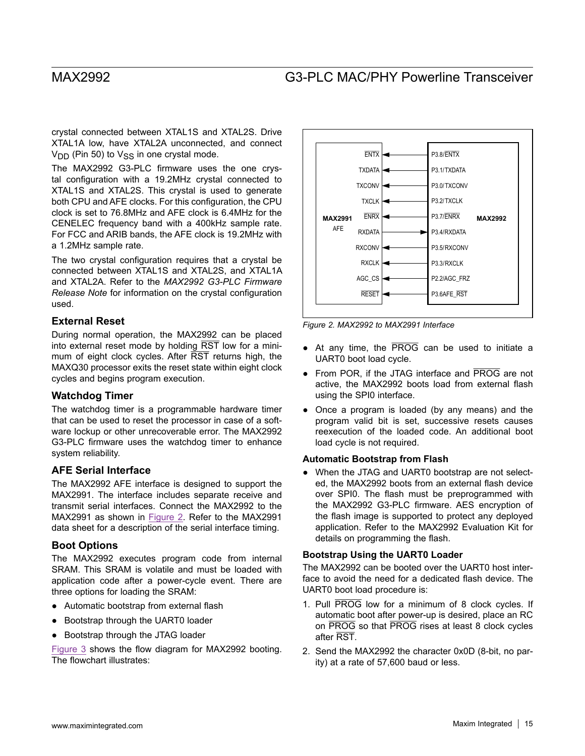crystal connected between XTAL1S and XTAL2S. Drive XTAL1A low, have XTAL2A unconnected, and connect  $V<sub>DD</sub>$  (Pin 50) to  $V<sub>SS</sub>$  in one crystal mode.

The MAX2992 G3-PLC firmware uses the one crystal configuration with a 19.2MHz crystal connected to XTAL1S and XTAL2S. This crystal is used to generate both CPU and AFE clocks. For this configuration, the CPU clock is set to 76.8MHz and AFE clock is 6.4MHz for the CENELEC frequency band with a 400kHz sample rate. For FCC and ARIB bands, the AFE clock is 19.2MHz with a 1.2MHz sample rate.

The two crystal configuration requires that a crystal be connected between XTAL1S and XTAL2S, and XTAL1A and XTAL2A. Refer to the *MAX2992 G3-PLC Firmware Release Note* for information on the crystal configuration used.

### **External Reset**

During normal operation, the MAX2992 can be placed into external reset mode by holding  $\overline{\text{RST}}$  low for a minimum of eight clock cycles. After RST returns high, the MAXQ30 processor exits the reset state within eight clock cycles and begins program execution.

### **Watchdog Timer**

The watchdog timer is a programmable hardware timer that can be used to reset the processor in case of a software lockup or other unrecoverable error. The MAX2992 G3-PLC firmware uses the watchdog timer to enhance system reliability.

### **AFE Serial Interface**

The MAX2992 AFE interface is designed to support the MAX2991. The interface includes separate receive and transmit serial interfaces. Connect the MAX2992 to the MAX2991 as shown in [Figure 2.](#page-14-0) Refer to the MAX2991 data sheet for a description of the serial interface timing.

### **Boot Options**

The MAX2992 executes program code from internal SRAM. This SRAM is volatile and must be loaded with application code after a power-cycle event. There are three options for loading the SRAM:

- ● Automatic bootstrap from external flash
- Bootstrap through the UART0 loader
- Bootstrap through the JTAG loader

[Figure 3](#page-15-0) shows the flow diagram for MAX2992 booting. The flowchart illustrates:

<span id="page-14-0"></span>

*Figure 2. MAX2992 to MAX2991 Interface*

- At any time, the PROG can be used to initiate a UART0 boot load cycle.
- From POR, if the JTAG interface and PROG are not active, the MAX2992 boots load from external flash using the SPI0 interface.
- Once a program is loaded (by any means) and the program valid bit is set, successive resets causes reexecution of the loaded code. An additional boot load cycle is not required.

### **Automatic Bootstrap from Flash**

• When the JTAG and UART0 bootstrap are not selected, the MAX2992 boots from an external flash device over SPI0. The flash must be preprogrammed with the MAX2992 G3-PLC firmware. AES encryption of the flash image is supported to protect any deployed application. Refer to the MAX2992 Evaluation Kit for details on programming the flash.

### **Bootstrap Using the UART0 Loader**

The MAX2992 can be booted over the UART0 host interface to avoid the need for a dedicated flash device. The UART0 boot load procedure is:

- 1. Pull PROG low for a minimum of 8 clock cycles. If automatic boot after power-up is desired, place an RC on PROG so that PROG rises at least 8 clock cycles after RST.
- 2. Send the MAX2992 the character 0x0D (8-bit, no parity) at a rate of 57,600 baud or less.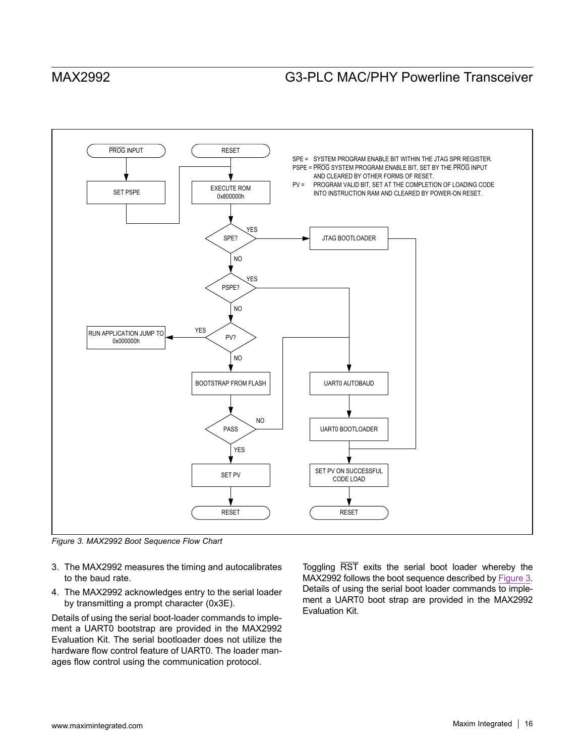<span id="page-15-0"></span>

*Figure 3. MAX2992 Boot Sequence Flow Chart*

- 3. The MAX2992 measures the timing and autocalibrates to the baud rate.
- 4. The MAX2992 acknowledges entry to the serial loader by transmitting a prompt character (0x3E).

Details of using the serial boot-loader commands to implement a UART0 bootstrap are provided in the MAX2992 Evaluation Kit. The serial bootloader does not utilize the hardware flow control feature of UART0. The loader manages flow control using the communication protocol.

Toggling RST exits the serial boot loader whereby the MAX2992 follows the boot sequence described by [Figure 3](#page-15-0). Details of using the serial boot loader commands to implement a UART0 boot strap are provided in the MAX2992 Evaluation Kit.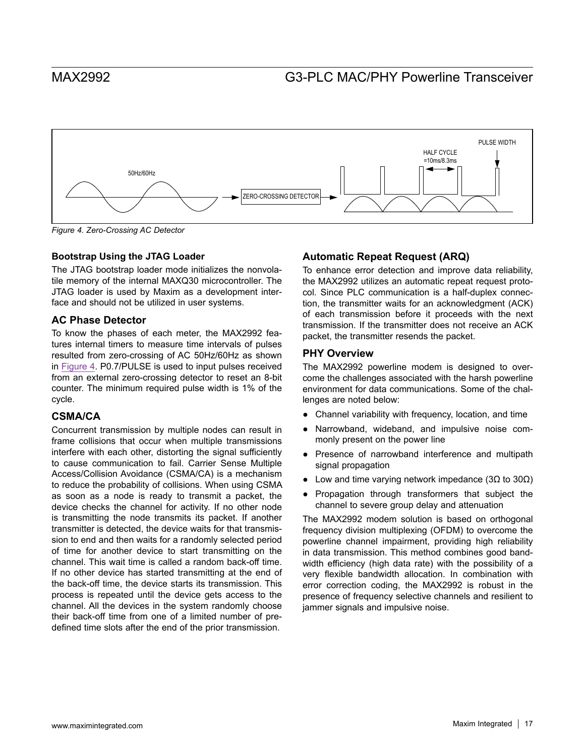<span id="page-16-0"></span>

*Figure 4. Zero-Crossing AC Detector*

### **Bootstrap Using the JTAG Loader**

The JTAG bootstrap loader mode initializes the nonvolatile memory of the internal MAXQ30 microcontroller. The JTAG loader is used by Maxim as a development interface and should not be utilized in user systems.

### **AC Phase Detector**

To know the phases of each meter, the MAX2992 features internal timers to measure time intervals of pulses resulted from zero-crossing of AC 50Hz/60Hz as shown in [Figure 4](#page-16-0). P0.7/PULSE is used to input pulses received from an external zero-crossing detector to reset an 8-bit counter. The minimum required pulse width is 1% of the cycle.

### **CSMA/CA**

Concurrent transmission by multiple nodes can result in frame collisions that occur when multiple transmissions interfere with each other, distorting the signal sufficiently to cause communication to fail. Carrier Sense Multiple Access/Collision Avoidance (CSMA/CA) is a mechanism to reduce the probability of collisions. When using CSMA as soon as a node is ready to transmit a packet, the device checks the channel for activity. If no other node is transmitting the node transmits its packet. If another transmitter is detected, the device waits for that transmission to end and then waits for a randomly selected period of time for another device to start transmitting on the channel. This wait time is called a random back-off time. If no other device has started transmitting at the end of the back-off time, the device starts its transmission. This process is repeated until the device gets access to the channel. All the devices in the system randomly choose their back-off time from one of a limited number of predefined time slots after the end of the prior transmission.

### **Automatic Repeat Request (ARQ)**

To enhance error detection and improve data reliability, the MAX2992 utilizes an automatic repeat request protocol. Since PLC communication is a half-duplex connection, the transmitter waits for an acknowledgment (ACK) of each transmission before it proceeds with the next transmission. If the transmitter does not receive an ACK packet, the transmitter resends the packet.

### **PHY Overview**

The MAX2992 powerline modem is designed to overcome the challenges associated with the harsh powerline environment for data communications. Some of the challenges are noted below:

- Channel variability with frequency, location, and time
- Narrowband, wideband, and impulsive noise commonly present on the power line
- Presence of narrowband interference and multipath signal propagation
- Low and time varying network impedance (3Ω to 30Ω)
- Propagation through transformers that subject the channel to severe group delay and attenuation

The MAX2992 modem solution is based on orthogonal frequency division multiplexing (OFDM) to overcome the powerline channel impairment, providing high reliability in data transmission. This method combines good bandwidth efficiency (high data rate) with the possibility of a very flexible bandwidth allocation. In combination with error correction coding, the MAX2992 is robust in the presence of frequency selective channels and resilient to jammer signals and impulsive noise.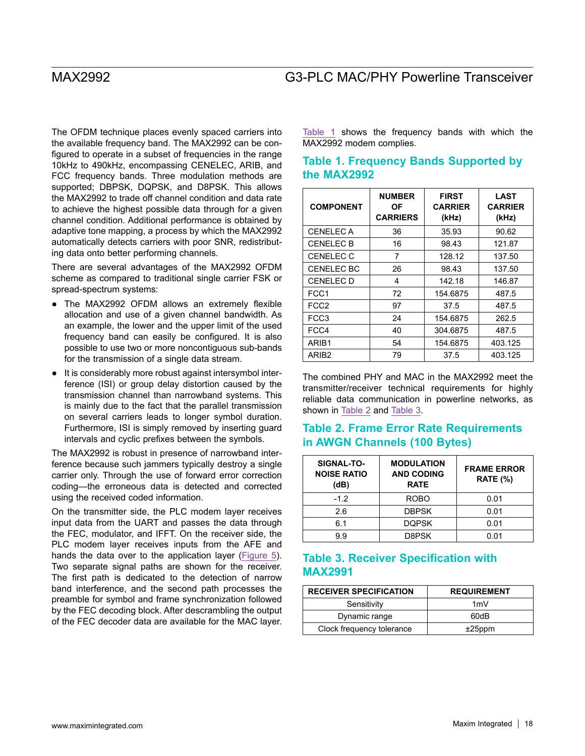The OFDM technique places evenly spaced carriers into the available frequency band. The MAX2992 can be configured to operate in a subset of frequencies in the range 10kHz to 490kHz, encompassing CENELEC, ARIB, and FCC frequency bands. Three modulation methods are supported; DBPSK, DQPSK, and D8PSK. This allows the MAX2992 to trade off channel condition and data rate to achieve the highest possible data through for a given channel condition. Additional performance is obtained by adaptive tone mapping, a process by which the MAX2992 automatically detects carriers with poor SNR, redistributing data onto better performing channels.

There are several advantages of the MAX2992 OFDM scheme as compared to traditional single carrier FSK or spread-spectrum systems:

- The MAX2992 OFDM allows an extremely flexible allocation and use of a given channel bandwidth. As an example, the lower and the upper limit of the used frequency band can easily be configured. It is also possible to use two or more noncontiguous sub-bands for the transmission of a single data stream.
- It is considerably more robust against intersymbol interference (ISI) or group delay distortion caused by the transmission channel than narrowband systems. This is mainly due to the fact that the parallel transmission on several carriers leads to longer symbol duration. Furthermore, ISI is simply removed by inserting guard intervals and cyclic prefixes between the symbols.

The MAX2992 is robust in presence of narrowband interference because such jammers typically destroy a single carrier only. Through the use of forward error correction coding—the erroneous data is detected and corrected using the received coded information.

On the transmitter side, the PLC modem layer receives input data from the UART and passes the data through the FEC, modulator, and IFFT. On the receiver side, the PLC modem layer receives inputs from the AFE and hands the data over to the application layer ([Figure](#page-18-0) 5). Two separate signal paths are shown for the receiver. The first path is dedicated to the detection of narrow band interference, and the second path processes the preamble for symbol and frame synchronization followed by the FEC decoding block. After descrambling the output of the FEC decoder data are available for the MAC layer. [Table 1](#page-17-0) shows the frequency bands with which the MAX2992 modem complies.

## <span id="page-17-0"></span>**Table 1. Frequency Bands Supported by the MAX2992**

| <b>COMPONENT</b>  | <b>NUMBER</b><br>ΟF<br><b>CARRIERS</b> | <b>FIRST</b><br><b>CARRIER</b><br>(kHz) | LAST<br><b>CARRIER</b><br>(kHz) |
|-------------------|----------------------------------------|-----------------------------------------|---------------------------------|
| <b>CENELECA</b>   | 36                                     | 35.93                                   | 90.62                           |
| <b>CENELEC B</b>  | 16                                     | 98.43                                   | 121.87                          |
| <b>CENELEC C</b>  | 7                                      | 128.12                                  | 137.50                          |
| <b>CENELEC BC</b> | 26                                     | 98.43                                   | 137.50                          |
| <b>CENELEC D</b>  | 4                                      | 142.18                                  | 146.87                          |
| FCC1              | 72                                     | 154.6875                                | 487.5                           |
| FCC <sub>2</sub>  | 97                                     | 37.5                                    | 487.5                           |
| FCC3              | 24                                     | 154.6875                                | 262.5                           |
| FCC4              | 40                                     | 304.6875                                | 487.5                           |
| ARIB1             | 54                                     | 154.6875                                | 403.125                         |
| ARIB <sub>2</sub> | 79                                     | 37.5                                    | 403.125                         |

The combined PHY and MAC in the MAX2992 meet the transmitter/receiver technical requirements for highly reliable data communication in powerline networks, as shown in [Table 2](#page-17-1) and [Table 3.](#page-17-2)

### <span id="page-17-1"></span>**Table 2. Frame Error Rate Requirements in AWGN Channels (100 Bytes)**

| SIGNAL-TO-<br><b>NOISE RATIO</b><br>(dB) | <b>MODULATION</b><br><b>AND CODING</b><br><b>RATE</b> | <b>FRAME ERROR</b><br><b>RATE (%)</b> |
|------------------------------------------|-------------------------------------------------------|---------------------------------------|
| $-1.2$                                   | <b>ROBO</b>                                           | 0.01                                  |
| 2.6                                      | <b>DBPSK</b>                                          | 0.01                                  |
| 6.1                                      | <b>DQPSK</b>                                          | 0.01                                  |
| 99                                       | D8PSK                                                 | 0.01                                  |

## <span id="page-17-2"></span>**Table 3. Receiver Specification with MAX2991**

| <b>RECEIVER SPECIFICATION</b> | <b>REQUIREMENT</b> |
|-------------------------------|--------------------|
| Sensitivity                   | 1mV                |
| Dynamic range                 | 60dB               |
| Clock frequency tolerance     | $±25$ ppm          |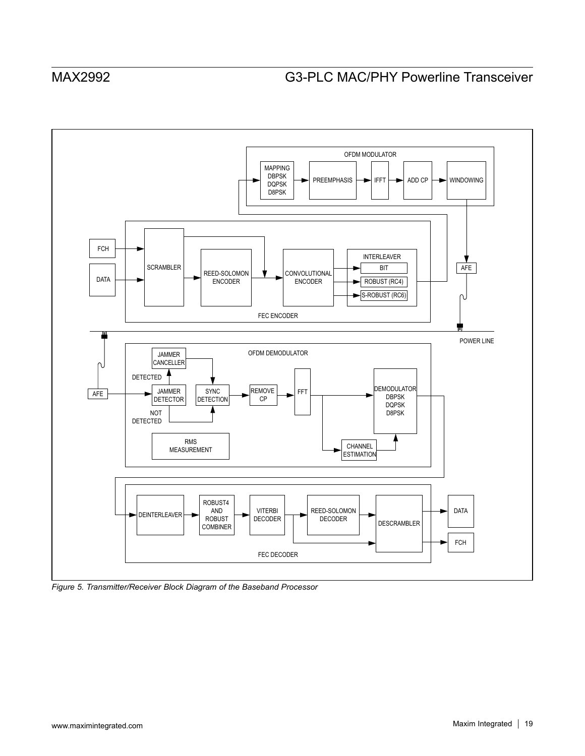<span id="page-18-0"></span>

*Figure 5. Transmitter/Receiver Block Diagram of the Baseband Processor*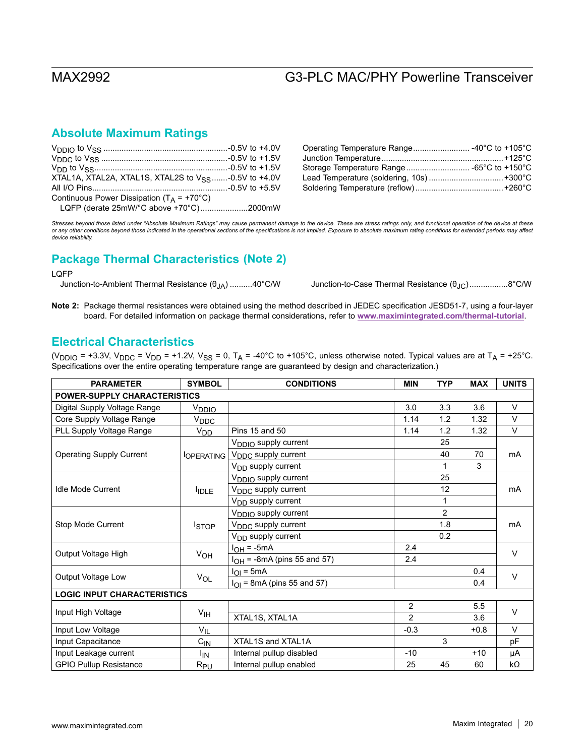## **Absolute Maximum Ratings**

| XTAL1A, XTAL2A, XTAL1S, XTAL2S to V <sub>SS</sub> -0.5V to +4.0V |  |
|------------------------------------------------------------------|--|
|                                                                  |  |
| Continuous Power Dissipation ( $T_A$ = +70°C)                    |  |
| LQFP (derate 25mW/°C above +70°C)2000mW                          |  |

| Operating Temperature Range -40°C to +105°C |  |
|---------------------------------------------|--|
|                                             |  |
|                                             |  |
|                                             |  |
|                                             |  |

*Stresses beyond those listed under "Absolute Maximum Ratings" may cause permanent damage to the device. These are stress ratings only, and functional operation of the device at these*  or any other conditions beyond those indicated in the operational sections of the specifications is not implied. Exposure to absolute maximum rating conditions for extended periods may affect<br>device reliability.

## **(Note 2) Package Thermal Characteristics**

### LQFP

Junction-to-Ambient Thermal Resistance (θJA) ..........40°C/W Junction-to-Case Thermal Resistance (θJC).................8°C/W

Note 2: Package thermal resistances were obtained using the method described in JEDEC specification JESD51-7, using a four-layer board. For detailed information on package thermal considerations, refer to **[www.maximintegrated.com/thermal-tutorial](http://www.maximintegrated.com/thermal-tutorial)**.

## **Electrical Characteristics**

(V<sub>DDIO</sub> = +3.3V, V<sub>DDC</sub> = V<sub>DD</sub> = +1.2V, V<sub>SS</sub> = 0, T<sub>A</sub> = -40°C to +105°C, unless otherwise noted. Typical values are at T<sub>A</sub> = +25°C. Specifications over the entire operating temperature range are guaranteed by design and characterization.)

| <b>PARAMETER</b>                    | <b>SYMBOL</b>          | <b>CONDITIONS</b><br><b>TYP</b><br><b>MIN</b><br><b>MAX</b> |                | <b>UNITS</b>   |        |           |  |
|-------------------------------------|------------------------|-------------------------------------------------------------|----------------|----------------|--------|-----------|--|
| <b>POWER-SUPPLY CHARACTERISTICS</b> |                        |                                                             |                |                |        |           |  |
| Digital Supply Voltage Range        | V <sub>DDIO</sub>      |                                                             | 3.0            | 3.3            | 3.6    | V         |  |
| Core Supply Voltage Range           | V <sub>DDC</sub>       |                                                             | 1.14           | 1.2            | 1.32   | V         |  |
| PLL Supply Voltage Range            | V <sub>DD</sub>        | Pins 15 and 50                                              | 1.14           | 1.2            | 1.32   | V         |  |
|                                     |                        | V <sub>DDIO</sub> supply current                            |                | 25             |        |           |  |
| <b>Operating Supply Current</b>     | <sup>I</sup> OPERATING | V <sub>DDC</sub> supply current                             |                | 40             | 70     | <b>mA</b> |  |
|                                     |                        | V <sub>DD</sub> supply current                              |                |                | 3      |           |  |
|                                     |                        | V <sub>DDIO</sub> supply current                            |                | 25             |        |           |  |
| <b>Idle Mode Current</b>            | <b>IDLE</b>            | V <sub>DDC</sub> supply current                             |                | 12             |        | mA        |  |
|                                     |                        | V <sub>DD</sub> supply current                              |                |                |        |           |  |
|                                     | <b>ISTOP</b>           | V <sub>DDIO</sub> supply current                            |                | $\overline{2}$ |        |           |  |
| Stop Mode Current                   |                        | V <sub>DDC</sub> supply current                             |                | 1.8            |        | mA        |  |
|                                     |                        | V <sub>DD</sub> supply current                              |                | 0.2            |        |           |  |
| Output Voltage High                 | V <sub>OH</sub>        | $I_{OH} = -5mA$                                             | 2.4            |                |        | $\vee$    |  |
|                                     |                        | $I_{OH}$ = -8mA (pins 55 and 57)                            | 2.4            |                |        |           |  |
| <b>Output Voltage Low</b>           | $V_{OL}$               | $I_{OI} = 5mA$                                              |                |                | 0.4    | $\vee$    |  |
|                                     |                        | $I_{\bigcap}$ = 8mA (pins 55 and 57)                        |                |                | 0.4    |           |  |
| <b>LOGIC INPUT CHARACTERISTICS</b>  |                        |                                                             |                |                |        |           |  |
| Input High Voltage                  | $V_{\text{IH}}$        |                                                             | $\overline{2}$ |                | 5.5    | $\vee$    |  |
|                                     |                        | XTAL1S, XTAL1A                                              | $\overline{2}$ |                | 3.6    |           |  |
| Input Low Voltage                   | $V_{IL}$               |                                                             | $-0.3$         |                | $+0.8$ | $\vee$    |  |
| Input Capacitance                   | $C_{IN}$               | XTAL1S and XTAL1A                                           |                | 3              |        | pF        |  |
| Input Leakage current               | <sup>I</sup> IN        | Internal pullup disabled                                    | $-10$          |                | $+10$  | μA        |  |
| <b>GPIO Pullup Resistance</b>       | $R_{PU}$               | Internal pullup enabled                                     | 25             | 45             | 60     | $k\Omega$ |  |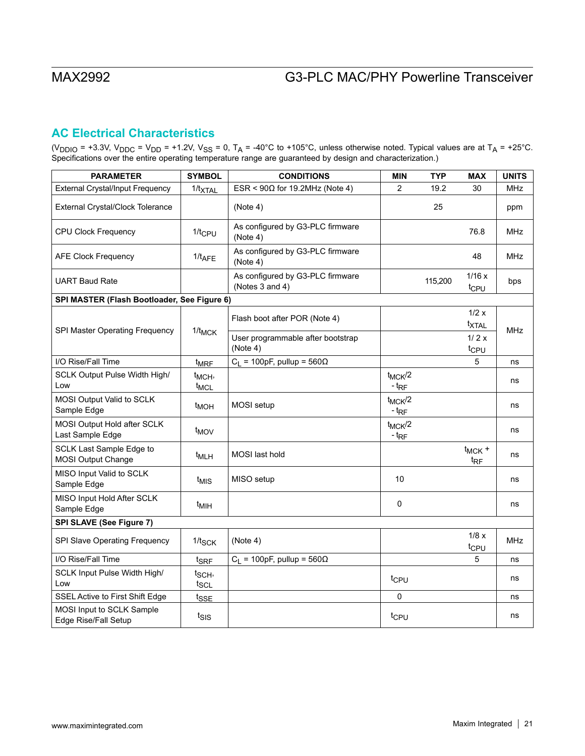## **AC Electrical Characteristics**

(V<sub>DDIO</sub> = +3.3V, V<sub>DDC</sub> = V<sub>DD</sub> = +1.2V, V<sub>SS</sub> = 0, T<sub>A</sub> = -40°C to +105°C, unless otherwise noted. Typical values are at T<sub>A</sub> = +25°C. Specifications over the entire operating temperature range are guaranteed by design and characterization.)

| <b>PARAMETER</b>                                      | <b>SYMBOL</b>                          | <b>CONDITIONS</b>                                   | <b>MIN</b>               | <b>TYP</b> | <b>MAX</b>                     | <b>UNITS</b> |
|-------------------------------------------------------|----------------------------------------|-----------------------------------------------------|--------------------------|------------|--------------------------------|--------------|
| External Crystal/Input Frequency                      | $1/t_{\text{XTAL}}$                    | $ESR < 90\Omega$ for 19.2MHz (Note 4)               | 2                        | 19.2       | 30                             | <b>MHz</b>   |
| External Crystal/Clock Tolerance                      |                                        | (Note 4)                                            |                          | 25         |                                | ppm          |
| <b>CPU Clock Frequency</b>                            | $1/t$ <sub>CPU</sub>                   | As configured by G3-PLC firmware<br>(Note 4)        |                          |            | 76.8                           | <b>MHz</b>   |
| <b>AFE Clock Frequency</b>                            | $1/t_{AFE}$                            | As configured by G3-PLC firmware<br>(Note 4)        |                          |            | 48                             | <b>MHz</b>   |
| <b>UART Baud Rate</b>                                 |                                        | As configured by G3-PLC firmware<br>(Notes 3 and 4) |                          | 115,200    | 1/16x<br>t <sub>CPU</sub>      | bps          |
| SPI MASTER (Flash Bootloader, See Figure 6)           |                                        |                                                     |                          |            |                                |              |
|                                                       |                                        | Flash boot after POR (Note 4)                       |                          |            | 1/2 x<br>txtal                 |              |
| SPI Master Operating Frequency                        | $1/t_{MCK}$                            | User programmable after bootstrap<br>(Note 4)       |                          |            | 1/2x<br>t <sub>CPU</sub>       | <b>MHz</b>   |
| I/O Rise/Fall Time                                    | $t_{MRF}$                              | $C_1$ = 100pF, pullup = 560 $\Omega$                |                          |            | 5                              | ns           |
| SCLK Output Pulse Width High/<br>Low                  | t <sub>MCH</sub> ,<br>t <sub>MCL</sub> |                                                     | $t_{MCK}/2$<br>$-t_{RF}$ |            |                                | ns           |
| MOSI Output Valid to SCLK<br>Sample Edge              | t <sub>MOH</sub>                       | MOSI setup                                          | $t_{MCK}/2$<br>$-t_{RF}$ |            |                                | ns           |
| MOSI Output Hold after SCLK<br>Last Sample Edge       | t <sub>MOV</sub>                       |                                                     | $t_{MCK}/2$<br>$-t_{RF}$ |            |                                | ns           |
| SCLK Last Sample Edge to<br><b>MOSI Output Change</b> | t <sub>MLH</sub>                       | <b>MOSI</b> last hold                               |                          |            | $t_{MCK}$ +<br>t <sub>RF</sub> | ns           |
| MISO Input Valid to SCLK<br>Sample Edge               | t <sub>MIS</sub>                       | MISO setup                                          | 10                       |            |                                | ns           |
| MISO Input Hold After SCLK<br>Sample Edge             | t <sub>MIH</sub>                       |                                                     | 0                        |            |                                | ns           |
| SPI SLAVE (See Figure 7)                              |                                        |                                                     |                          |            |                                |              |
| SPI Slave Operating Frequency                         | $1/t_{SCK}$                            | (Note 4)                                            |                          |            | 1/8x<br>tc <sub>PU</sub>       | <b>MHz</b>   |
| I/O Rise/Fall Time                                    | t <sub>SRF</sub>                       | $C_L$ = 100pF, pullup = 560 $\Omega$                |                          |            | 5                              | ns           |
| SCLK Input Pulse Width High/<br>Low                   | t <sub>SCH</sub> ,<br>tscl             |                                                     | tcpu                     |            |                                | ns           |
| SSEL Active to First Shift Edge                       | tsse                                   |                                                     | 0                        |            |                                | ns           |
| MOSI Input to SCLK Sample<br>Edge Rise/Fall Setup     | tsis                                   |                                                     | t <sub>CPU</sub>         |            |                                | ns           |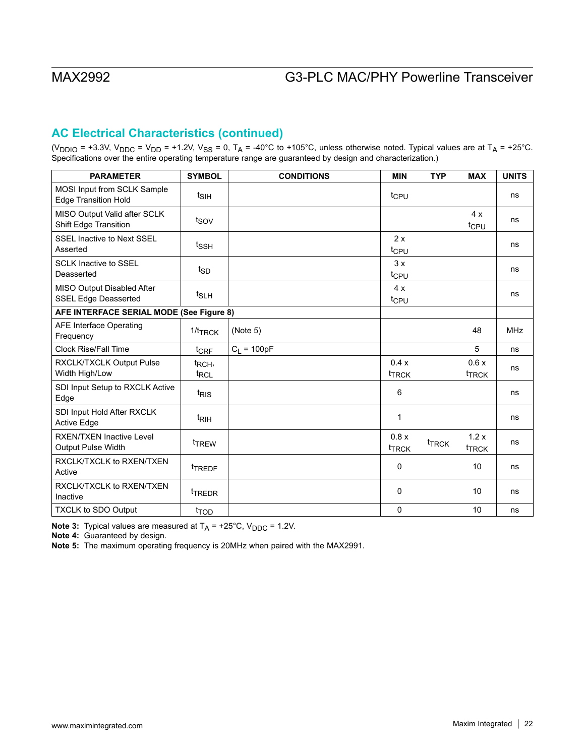## **AC Electrical Characteristics (continued)**

(V<sub>DDIO</sub> = +3.3V, V<sub>DDC</sub> = V<sub>DD</sub> = +1.2V, V<sub>SS</sub> = 0, T<sub>A</sub> = -40°C to +105°C, unless otherwise noted. Typical values are at T<sub>A</sub> = +25°C. Specifications over the entire operating temperature range are guaranteed by design and characterization.)

| <b>PARAMETER</b>                                             | <b>SYMBOL</b>                          | <b>CONDITIONS</b> | <b>MIN</b>                | <b>TYP</b>        | <b>MAX</b>                | <b>UNITS</b> |
|--------------------------------------------------------------|----------------------------------------|-------------------|---------------------------|-------------------|---------------------------|--------------|
| MOSI Input from SCLK Sample<br><b>Edge Transition Hold</b>   | $t_{\text{SIH}}$                       |                   | t <sub>CPU</sub>          |                   |                           | ns           |
| MISO Output Valid after SCLK<br><b>Shift Edge Transition</b> | t <sub>sov</sub>                       |                   |                           |                   | 4x<br>tc <sub>PU</sub>    | ns           |
| <b>SSEL Inactive to Next SSEL</b><br>Asserted                | t <sub>SSH</sub>                       |                   | 2x<br>tcpu                |                   |                           | ns           |
| <b>SCLK Inactive to SSEL</b><br>Deasserted                   | $t_{SD}$                               |                   | 3x<br>t <sub>CPU</sub>    |                   |                           | ns           |
| MISO Output Disabled After<br><b>SSEL Edge Deasserted</b>    | $t_{SLH}$                              |                   | 4x<br>tcpu                |                   |                           | ns           |
| AFE INTERFACE SERIAL MODE (See Figure 8)                     |                                        |                   |                           |                   |                           |              |
| <b>AFE Interface Operating</b><br>Frequency                  | $1/t$ TRCK                             | (Note 5)          |                           |                   | 48                        | <b>MHz</b>   |
| Clock Rise/Fall Time                                         | $t_{\text{CRF}}$                       | $C_1 = 100pF$     |                           |                   | 5                         | ns           |
| RXCLK/TXCLK Output Pulse<br>Width High/Low                   | t <sub>RCH</sub> ,<br>t <sub>RCL</sub> |                   | 0.4x<br>t <sub>TRCK</sub> |                   | 0.6x<br><sup>t</sup> TRCK | ns           |
| SDI Input Setup to RXCLK Active<br>Edge                      | t <sub>RIS</sub>                       |                   | 6                         |                   |                           | ns           |
| SDI Input Hold After RXCLK<br><b>Active Edge</b>             | t <sub>RIH</sub>                       |                   | 1                         |                   |                           | ns           |
| <b>RXEN/TXEN Inactive Level</b><br><b>Output Pulse Width</b> | <sup>t</sup> TREW                      |                   | 0.8x<br><b>TRCK</b>       | <sup>t</sup> TRCK | 1.2x<br><sup>t</sup> TRCK | ns           |
| RXCLK/TXCLK to RXEN/TXEN<br>Active                           | tTREDF                                 |                   | $\mathbf{0}$              |                   | 10                        | ns           |
| RXCLK/TXCLK to RXEN/TXEN<br>Inactive                         | <sup>t</sup> TREDR                     |                   | 0                         |                   | 10                        | ns           |
| <b>TXCLK to SDO Output</b>                                   | t <sub>TOD</sub>                       |                   | 0                         |                   | 10                        | ns           |

**Note 3:** Typical values are measured at  $T_A = +25^\circ C$ ,  $V_{DDC} = 1.2V$ .

**Note 4:** Guaranteed by design.

**Note 5:** The maximum operating frequency is 20MHz when paired with the MAX2991.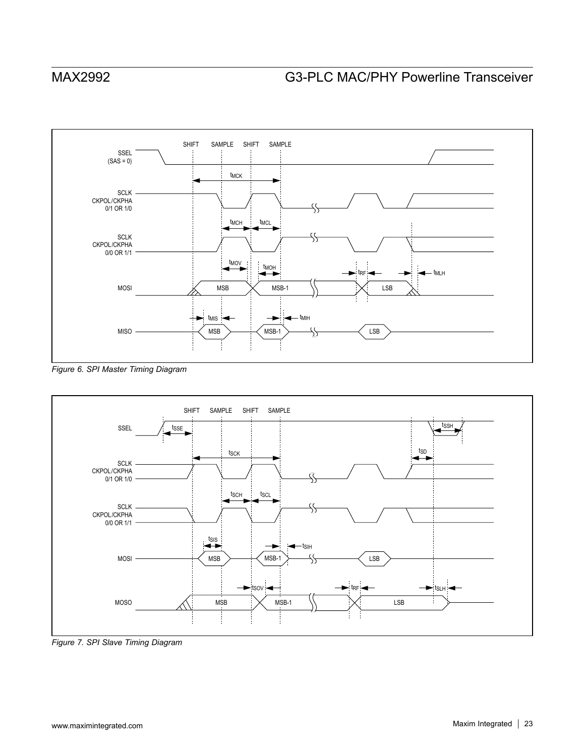

*Figure 6. SPI Master Timing Diagram*



*Figure 7. SPI Slave Timing Diagram*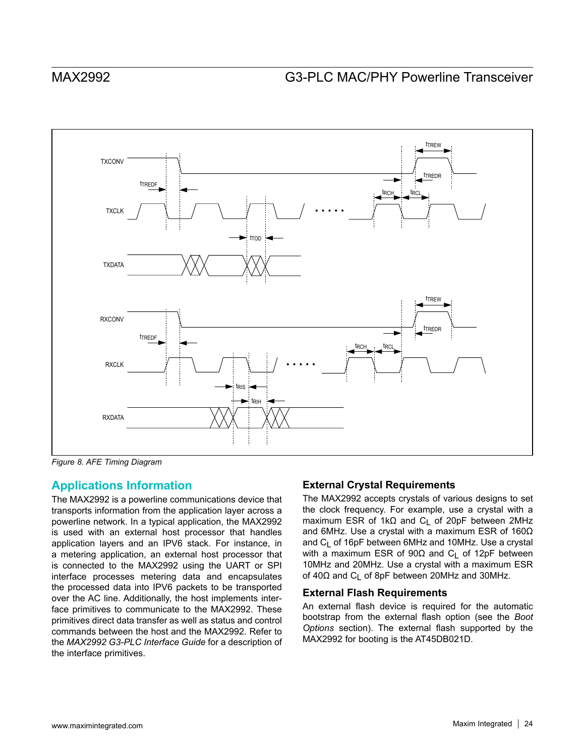

*Figure 8. AFE Timing Diagram*

## **Applications Information**

The MAX2992 is a powerline communications device that transports information from the application layer across a powerline network. In a typical application, the MAX2992 is used with an external host processor that handles application layers and an IPV6 stack. For instance, in a metering application, an external host processor that is connected to the MAX2992 using the UART or SPI interface processes metering data and encapsulates the processed data into IPV6 packets to be transported over the AC line. Additionally, the host implements interface primitives to communicate to the MAX2992. These primitives direct data transfer as well as status and control commands between the host and the MAX2992. Refer to the *MAX2992 G3-PLC Interface Guide* for a description of the interface primitives.

### **External Crystal Requirements**

The MAX2992 accepts crystals of various designs to set the clock frequency. For example, use a crystal with a maximum ESR of 1kΩ and C<sub>L</sub> of 20pF between 2MHz and 6MHz. Use a crystal with a maximum ESR of 160Ω and  $C_1$  of 16pF between 6MHz and 10MHz. Use a crystal with a maximum ESR of 90Ω and C<sub>L</sub> of 12pF between 10MHz and 20MHz. Use a crystal with a maximum ESR of 40Ω and C<sub>L</sub> of 8pF between 20MHz and 30MHz.

### **External Flash Requirements**

An external flash device is required for the automatic bootstrap from the external flash option (see the *Boot Options* section). The external flash supported by the MAX2992 for booting is the AT45DB021D.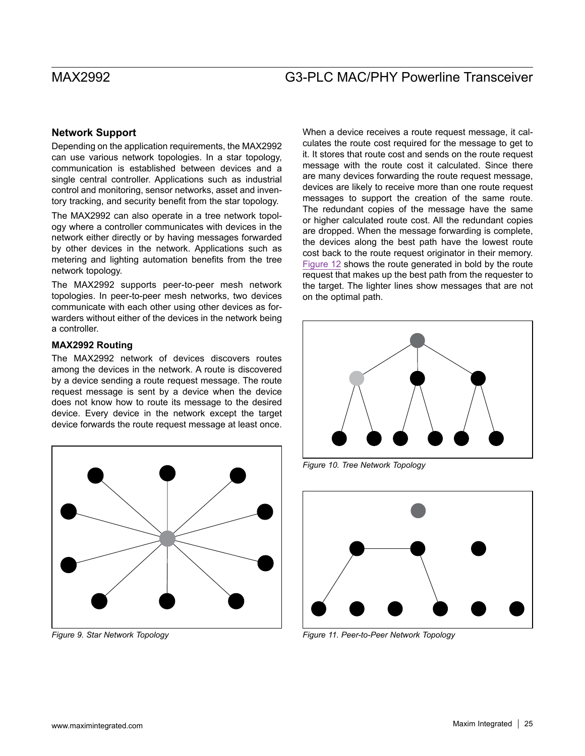### **Network Support**

Depending on the application requirements, the MAX2992 can use various network topologies. In a star topology, communication is established between devices and a single central controller. Applications such as industrial control and monitoring, sensor networks, asset and inventory tracking, and security benefit from the star topology.

The MAX2992 can also operate in a tree network topology where a controller communicates with devices in the network either directly or by having messages forwarded by other devices in the network. Applications such as metering and lighting automation benefits from the tree network topology.

The MAX2992 supports peer-to-peer mesh network topologies. In peer-to-peer mesh networks, two devices communicate with each other using other devices as forwarders without either of the devices in the network being a controller.

### **MAX2992 Routing**

The MAX2992 network of devices discovers routes among the devices in the network. A route is discovered by a device sending a route request message. The route request message is sent by a device when the device does not know how to route its message to the desired device. Every device in the network except the target device forwards the route request message at least once.



When a device receives a route request message, it calculates the route cost required for the message to get to it. It stores that route cost and sends on the route request message with the route cost it calculated. Since there are many devices forwarding the route request message, devices are likely to receive more than one route request messages to support the creation of the same route. The redundant copies of the message have the same or higher calculated route cost. All the redundant copies are dropped. When the message forwarding is complete, the devices along the best path have the lowest route cost back to the route request originator in their memory. [Figure 12](#page-25-0) shows the route generated in bold by the route request that makes up the best path from the requester to the target. The lighter lines show messages that are not on the optimal path.



*Figure 10. Tree Network Topology*



*Figure 9. Star Network Topology Figure 11. Peer-to-Peer Network Topology*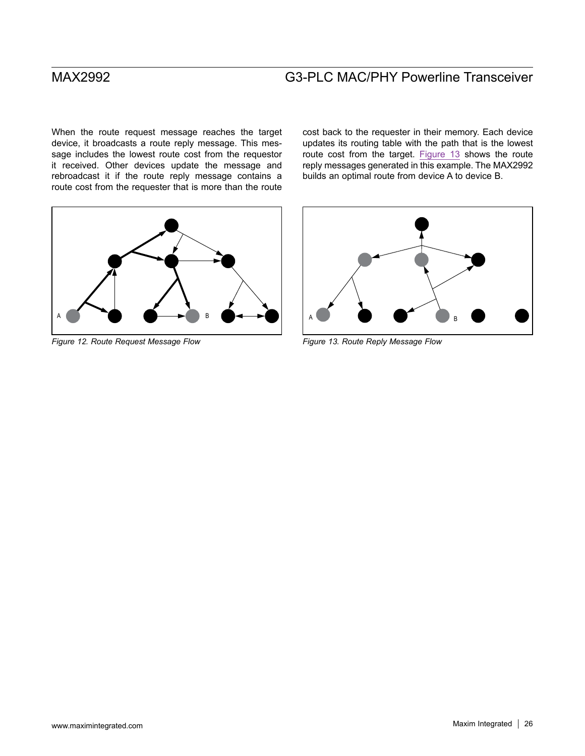When the route request message reaches the target device, it broadcasts a route reply message. This message includes the lowest route cost from the requestor it received. Other devices update the message and rebroadcast it if the route reply message contains a route cost from the requester that is more than the route

<span id="page-25-0"></span>

*Figure 12. Route Request Message Flow Figure 13. Route Reply Message Flow*

cost back to the requester in their memory. Each device updates its routing table with the path that is the lowest route cost from the target. [Figure 13](#page-25-1) shows the route reply messages generated in this example. The MAX2992 builds an optimal route from device A to device B.

<span id="page-25-1"></span>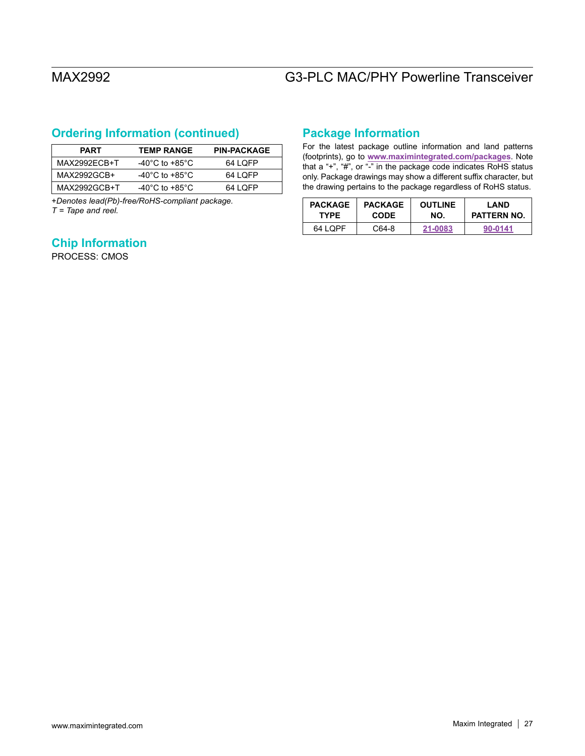## **Ordering Information (continued)**

| <b>PART</b>  | <b>TEMP RANGE</b>                    | <b>PIN-PACKAGE</b> |
|--------------|--------------------------------------|--------------------|
| MAX2992FCB+T | -40 $^{\circ}$ C to +85 $^{\circ}$ C | 64 LOFP            |
| MAX2992GCB+  | -40 $^{\circ}$ C to +85 $^{\circ}$ C | 64 LOFP            |
| MAX2992GCB+T | -40 $^{\circ}$ C to +85 $^{\circ}$ C | 64 LOFP            |

+*Denotes lead(Pb)-free/RoHS-compliant package. T = Tape and reel.*

## **Chip Information**

PROCESS: CMOS

## **Package Information**

For the latest package outline information and land patterns (footprints), go to **[www.maximintegrated.com/packages](http://www.maximintegrated.com/packages)**. Note that a "+", "#", or "-" in the package code indicates RoHS status only. Package drawings may show a different suffix character, but the drawing pertains to the package regardless of RoHS status.

| <b>PACKAGE</b> | <b>PACKAGE</b> | <b>OUTLINE</b> | LAND               |
|----------------|----------------|----------------|--------------------|
| <b>TYPE</b>    | <b>CODE</b>    | NO.            | <b>PATTERN NO.</b> |
| 64 LOPF        | C64-8          | 21-0083        | 90-0141            |